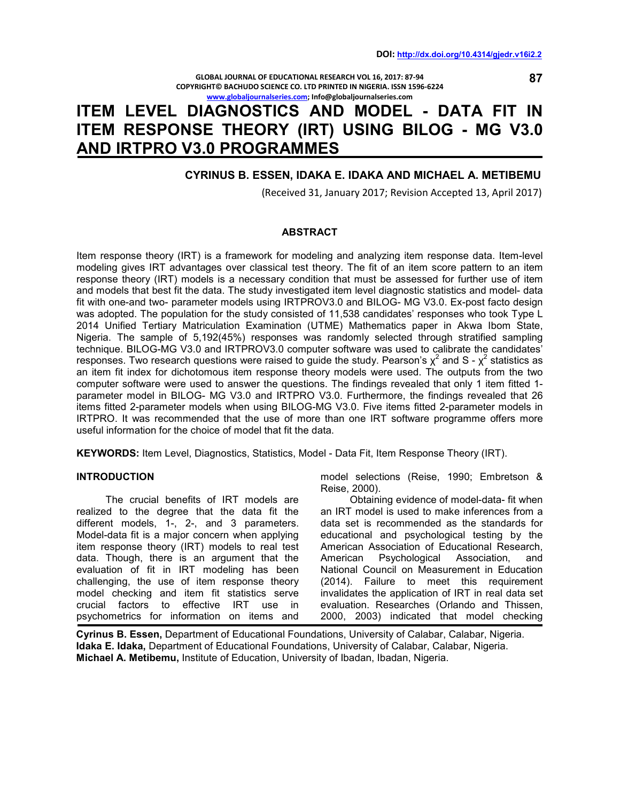**GLOBAL JOURNAL OF EDUCATIONAL RESEARCH VOL 16, 2017: 87-94 COPYRIGHT© BACHUDO SCIENCE CO. LTD PRINTED IN NIGERIA. ISSN 1596-6224 www.globaljournalseries.com; Info@globaljournalseries.com**

# **ITEM LEVEL DIAGNOSTICS AND MODEL - DATA FIT IN ITEM RESPONSE THEORY (IRT) USING BILOG - MG V3.0 AND IRTPRO V3.0 PROGRAMMES**

# **CYRINUS B. ESSEN, IDAKA E. IDAKA AND MICHAEL A. METIBEMU**

(Received 31, January 2017; Revision Accepted 13, April 2017)

#### **ABSTRACT**

Item response theory (IRT) is a framework for modeling and analyzing item response data. Item-level modeling gives IRT advantages over classical test theory. The fit of an item score pattern to an item response theory (IRT) models is a necessary condition that must be assessed for further use of item and models that best fit the data. The study investigated item level diagnostic statistics and model- data fit with one-and two- parameter models using IRTPROV3.0 and BILOG- MG V3.0. Ex-post facto design was adopted. The population for the study consisted of 11,538 candidates' responses who took Type L 2014 Unified Tertiary Matriculation Examination (UTME) Mathematics paper in Akwa Ibom State, Nigeria. The sample of 5,192(45%) responses was randomly selected through stratified sampling technique. BILOG-MG V3.0 and IRTPROV3.0 computer software was used to calibrate the candidates' responses. Two research questions were raised to guide the study. Pearson's  $\chi^2$  and S -  $\chi^2$  statistics as an item fit index for dichotomous item response theory models were used. The outputs from the two computer software were used to answer the questions. The findings revealed that only 1 item fitted 1 parameter model in BILOG- MG V3.0 and IRTPRO V3.0. Furthermore, the findings revealed that 26 items fitted 2-parameter models when using BILOG-MG V3.0. Five items fitted 2-parameter models in IRTPRO. It was recommended that the use of more than one IRT software programme offers more useful information for the choice of model that fit the data.

**KEYWORDS:** Item Level, Diagnostics, Statistics, Model - Data Fit, Item Response Theory (IRT).

#### **INTRODUCTION**

 The crucial benefits of IRT models are realized to the degree that the data fit the different models, 1-, 2-, and 3 parameters. Model-data fit is a major concern when applying item response theory (IRT) models to real test data. Though, there is an argument that the evaluation of fit in IRT modeling has been challenging, the use of item response theory model checking and item fit statistics serve crucial factors to effective IRT use in psychometrics for information on items and

model selections (Reise, 1990; Embretson & Reise, 2000).

 Obtaining evidence of model-data- fit when an IRT model is used to make inferences from a data set is recommended as the standards for educational and psychological testing by the American Association of Educational Research, American Psychological Association, and National Council on Measurement in Education (2014). Failure to meet this requirement invalidates the application of IRT in real data set evaluation. Researches (Orlando and Thissen, 2000, 2003) indicated that model checking

**Cyrinus B. Essen,** Department of Educational Foundations, University of Calabar, Calabar, Nigeria. **Idaka E. Idaka,** Department of Educational Foundations, University of Calabar, Calabar, Nigeria. **Michael A. Metibemu,** Institute of Education, University of Ibadan, Ibadan, Nigeria.

 **87**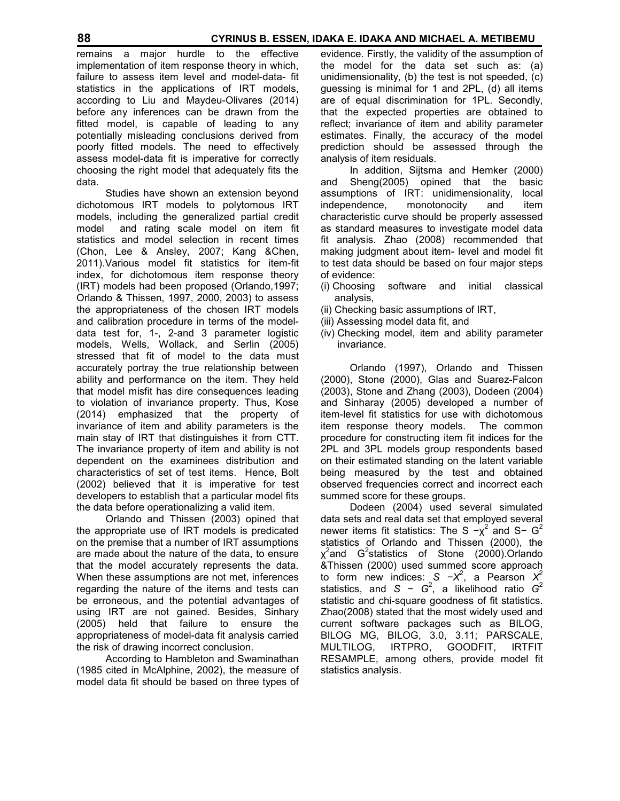remains a major hurdle to the effective implementation of item response theory in which, failure to assess item level and model-data- fit statistics in the applications of IRT models, according to Liu and Maydeu-Olivares (2014) before any inferences can be drawn from the fitted model, is capable of leading to any potentially misleading conclusions derived from poorly fitted models. The need to effectively assess model-data fit is imperative for correctly choosing the right model that adequately fits the data.

 Studies have shown an extension beyond dichotomous IRT models to polytomous IRT models, including the generalized partial credit model and rating scale model on item fit statistics and model selection in recent times (Chon, Lee & Ansley, 2007; Kang &Chen, 2011).Various model fit statistics for item-fit index, for dichotomous item response theory (IRT) models had been proposed (Orlando,1997; Orlando & Thissen, 1997, 2000, 2003) to assess the appropriateness of the chosen IRT models and calibration procedure in terms of the modeldata test for, 1-, 2-and 3 parameter logistic models, Wells, Wollack, and Serlin (2005) stressed that fit of model to the data must accurately portray the true relationship between ability and performance on the item. They held that model misfit has dire consequences leading to violation of invariance property. Thus, Kose (2014) emphasized that the property of invariance of item and ability parameters is the main stay of IRT that distinguishes it from CTT. The invariance property of item and ability is not dependent on the examinees distribution and characteristics of set of test items. Hence, Bolt (2002) believed that it is imperative for test developers to establish that a particular model fits the data before operationalizing a valid item.

 Orlando and Thissen (2003) opined that the appropriate use of IRT models is predicated on the premise that a number of IRT assumptions are made about the nature of the data, to ensure that the model accurately represents the data. When these assumptions are not met, inferences regarding the nature of the items and tests can be erroneous, and the potential advantages of using IRT are not gained. Besides, Sinhary (2005) held that failure to ensure the appropriateness of model-data fit analysis carried the risk of drawing incorrect conclusion.

 According to Hambleton and Swaminathan (1985 cited in McAlphine, 2002), the measure of model data fit should be based on three types of evidence. Firstly, the validity of the assumption of the model for the data set such as: (a) unidimensionality, (b) the test is not speeded, (c) guessing is minimal for 1 and 2PL, (d) all items are of equal discrimination for 1PL. Secondly, that the expected properties are obtained to reflect; invariance of item and ability parameter estimates. Finally, the accuracy of the model prediction should be assessed through the analysis of item residuals.

 In addition, Sijtsma and Hemker (2000) and Sheng(2005) opined that the basic assumptions of IRT: unidimensionality, local independence, monotonocity and item characteristic curve should be properly assessed as standard measures to investigate model data fit analysis. Zhao (2008) recommended that making judgment about item- level and model fit to test data should be based on four major steps of evidence:

- (i) Choosing software and initial classical analysis,
- (ii) Checking basic assumptions of IRT,
- (iii) Assessing model data fit, and
- (iv) Checking model, item and ability parameter invariance.

 Orlando (1997), Orlando and Thissen (2000), Stone (2000), Glas and Suarez-Falcon (2003), Stone and Zhang (2003), Dodeen (2004) and Sinharay (2005) developed a number of item-level fit statistics for use with dichotomous item response theory models. The common procedure for constructing item fit indices for the 2PL and 3PL models group respondents based on their estimated standing on the latent variable being measured by the test and obtained observed frequencies correct and incorrect each summed score for these groups.

 Dodeen (2004) used several simulated data sets and real data set that employed several newer items fit statistics: The S  $-x^2$  and S- G<sup>2</sup> statistics of Orlando and Thissen (2000), the  $\chi^2$ and G<sup>2</sup>statistics of Stone (2000).Orlando &Thissen (2000) used summed score approach to form new indices: *S* −*X* 2 , a Pearson *X* 2 statistics, and *S* −  $G^2$ , a likelihood ratio  $G^2$ statistic and chi-square goodness of fit statistics. Zhao(2008) stated that the most widely used and current software packages such as BILOG, BILOG MG, BILOG, 3.0, 3.11; PARSCALE,<br>MULTILOG, IRTPRO, GOODFIT, IRTFIT MULTILOG, IRTPRO, GOODFIT, IRTFIT RESAMPLE, among others, provide model fit statistics analysis.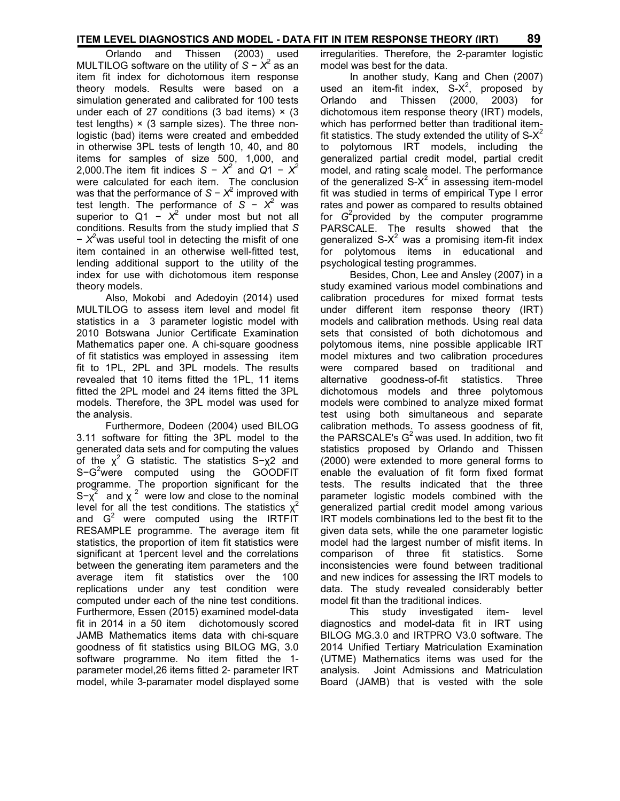### **ITEM LEVEL DIAGNOSTICS AND MODEL - DATA FIT IN ITEM RESPONSE THEORY (IRT) 89**

 Orlando and Thissen (2003) used MULTILOG software on the utility of *S* − *X* 2 as an item fit index for dichotomous item response theory models. Results were based on a simulation generated and calibrated for 100 tests under each of 27 conditions (3 bad items)  $\times$  (3 test lengths)  $\times$  (3 sample sizes). The three nonlogistic (bad) items were created and embedded in otherwise 3PL tests of length 10, 40, and 80 items for samples of size 500, 1,000, and 2,000.The item fit indices  $S - X^2$  and  $Q1 - X^2$ were calculated for each item. The conclusion was that the performance of *S* − *X* 2 improved with test length. The performance of  $S - X^2$  was superior to Q1 –  $X^2$  under most but not all conditions. Results from the study implied that *S*  − *X* <sup>2</sup>was useful tool in detecting the misfit of one item contained in an otherwise well-fitted test, lending additional support to the utility of the index for use with dichotomous item response theory models.

 Also, Mokobi and Adedoyin (2014) used MULTILOG to assess item level and model fit statistics in a 3 parameter logistic model with 2010 Botswana Junior Certificate Examination Mathematics paper one. A chi-square goodness of fit statistics was employed in assessing item fit to 1PL, 2PL and 3PL models. The results revealed that 10 items fitted the 1PL, 11 items fitted the 2PL model and 24 items fitted the 3PL models. Therefore, the 3PL model was used for the analysis.

 Furthermore, Dodeen (2004) used BILOG 3.11 software for fitting the 3PL model to the generated data sets and for computing the values of the  $\chi^2$  G statistic. The statistics S- $\chi^2$  and S−G<sup>2</sup>were computed using the GOODFIT programme. The proportion significant for the  $S-\chi^2$  and  $\chi^2$  were low and close to the nominal level for all the test conditions. The statistics  $x^2$ and  $G<sup>2</sup>$  were computed using the IRTFIT RESAMPLE programme. The average item fit statistics, the proportion of item fit statistics were significant at 1percent level and the correlations between the generating item parameters and the average item fit statistics over the 100 replications under any test condition were computed under each of the nine test conditions. Furthermore, Essen (2015) examined model-data fit in 2014 in a 50 item dichotomously scored JAMB Mathematics items data with chi-square goodness of fit statistics using BILOG MG, 3.0 software programme. No item fitted the 1 parameter model,26 items fitted 2- parameter IRT model, while 3-paramater model displayed some irregularities. Therefore, the 2-paramter logistic model was best for the data.

 In another study, Kang and Chen (2007) used an item-fit index,  $S-X^2$ , proposed by Orlando and Thissen (2000, 2003) for dichotomous item response theory (IRT) models, which has performed better than traditional itemfit statistics. The study extended the utility of  $S-X^2$ to polytomous IRT models, including the generalized partial credit model, partial credit model, and rating scale model. The performance of the generalized  $S-X^2$  in assessing item-model fit was studied in terms of empirical Type I error rates and power as compared to results obtained for *G* 2 provided by the computer programme PARSCALE. The results showed that the generalized S- $X^2$  was a promising item-fit index for polytomous items in educational and psychological testing programmes.

 Besides, Chon, Lee and Ansley (2007) in a study examined various model combinations and calibration procedures for mixed format tests under different item response theory (IRT) models and calibration methods. Using real data sets that consisted of both dichotomous and polytomous items, nine possible applicable IRT model mixtures and two calibration procedures were compared based on traditional and alternative goodness-of-fit statistics. Three dichotomous models and three polytomous models were combined to analyze mixed format test using both simultaneous and separate calibration methods. To assess goodness of fit, the PARSCALE's  $G<sup>2</sup>$  was used. In addition, two fit statistics proposed by Orlando and Thissen (2000) were extended to more general forms to enable the evaluation of fit form fixed format tests. The results indicated that the three parameter logistic models combined with the generalized partial credit model among various IRT models combinations led to the best fit to the given data sets, while the one parameter logistic model had the largest number of misfit items. In comparison of three fit statistics. Some inconsistencies were found between traditional and new indices for assessing the IRT models to data. The study revealed considerably better model fit than the traditional indices.

 This study investigated item- level diagnostics and model-data fit in IRT using BILOG MG.3.0 and IRTPRO V3.0 software. The 2014 Unified Tertiary Matriculation Examination (UTME) Mathematics items was used for the analysis. Joint Admissions and Matriculation Board (JAMB) that is vested with the sole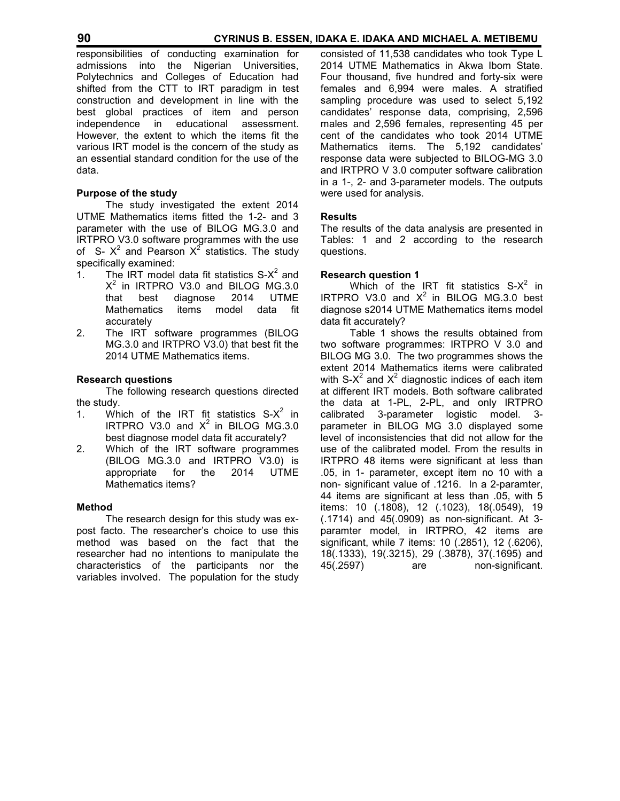responsibilities of conducting examination for admissions into the Nigerian Universities, Polytechnics and Colleges of Education had shifted from the CTT to IRT paradigm in test construction and development in line with the best global practices of item and person independence in educational assessment. However, the extent to which the items fit the various IRT model is the concern of the study as an essential standard condition for the use of the data.

# **Purpose of the study**

The study investigated the extent 2014 UTME Mathematics items fitted the 1-2- and 3 parameter with the use of BILOG MG.3.0 and IRTPRO V3.0 software programmes with the use of S-  $X^2$  and Pearson  $X^2$  statistics. The study specifically examined:

- 1. The IRT model data fit statistics  $S-X^2$  and  $X^2$  in IRTPRO V3.0 and BILOG MG.3.0 that best diagnose 2014 UTME Mathematics items model data fit accurately
- 2. The IRT software programmes (BILOG MG.3.0 and IRTPRO V3.0) that best fit the 2014 UTME Mathematics items.

### **Research questions**

 The following research questions directed the study.

- 1. Which of the IRT fit statistics  $S-X^2$  in IRTPRO V3.0 and  $X^2$  in BILOG MG.3.0 best diagnose model data fit accurately?
- 2. Which of the IRT software programmes (BILOG MG.3.0 and IRTPRO V3.0) is appropriate for the 2014 UTME Mathematics items?

#### **Method**

 The research design for this study was expost facto. The researcher's choice to use this method was based on the fact that the researcher had no intentions to manipulate the characteristics of the participants nor the variables involved. The population for the study consisted of 11,538 candidates who took Type L 2014 UTME Mathematics in Akwa Ibom State. Four thousand, five hundred and forty-six were females and 6,994 were males. A stratified sampling procedure was used to select 5,192 candidates' response data, comprising, 2,596 males and 2,596 females, representing 45 per cent of the candidates who took 2014 UTME Mathematics items. The 5,192 candidates' response data were subjected to BILOG-MG 3.0 and IRTPRO V 3.0 computer software calibration in a 1-, 2- and 3-parameter models. The outputs were used for analysis.

# **Results**

The results of the data analysis are presented in Tables: 1 and 2 according to the research questions.

### **Research question 1**

Which of the IRT fit statistics  $S-X^2$  in IRTPRO V3.0 and  $X^2$  in BILOG MG.3.0 best diagnose s2014 UTME Mathematics items model data fit accurately?

 Table 1 shows the results obtained from two software programmes: IRTPRO V 3.0 and BILOG MG 3.0. The two programmes shows the extent 2014 Mathematics items were calibrated with S-X<sup>2</sup> and X<sup>2</sup> diagnostic indices of each item at different IRT models. Both software calibrated the data at 1-PL, 2-PL, and only IRTPRO calibrated 3-parameter logistic model. 3 parameter in BILOG MG 3.0 displayed some level of inconsistencies that did not allow for the use of the calibrated model. From the results in IRTPRO 48 items were significant at less than .05, in 1- parameter, except item no 10 with a non- significant value of .1216. In a 2-paramter, 44 items are significant at less than .05, with 5 items: 10 (.1808), 12 (.1023), 18(.0549), 19 (.1714) and 45(.0909) as non-significant. At 3 paramter model, in IRTPRO, 42 items are significant, while 7 items: 10 (.2851), 12 (.6206), 18(.1333), 19(.3215), 29 (.3878), 37(.1695) and 45(.2597) are non-significant.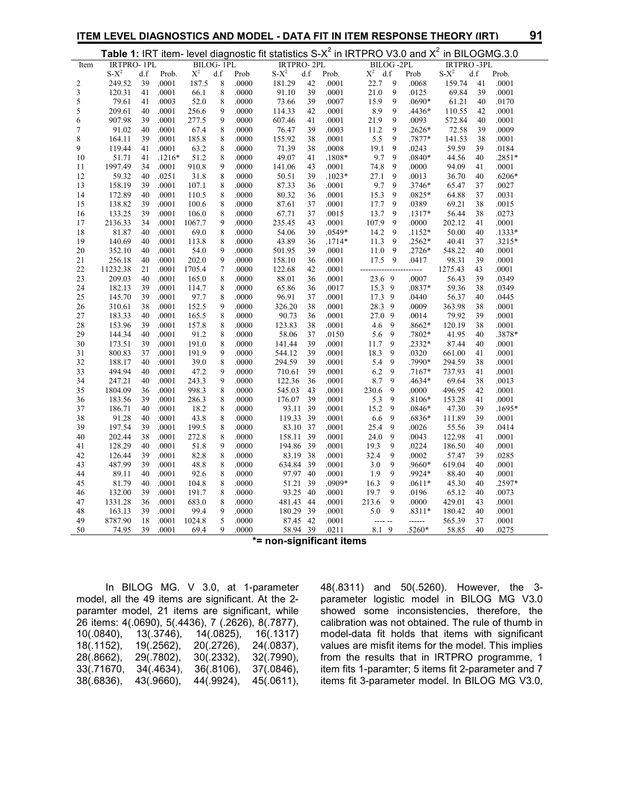#### **ITEM LEVEL DIAGNOSTICS AND MODEL - DATA FIT IN ITEM RESPONSE THEORY (IRT) 91**

| ۰, |
|----|
|    |

|              |                   |     |          |                |             |       | Table 1: IRT item- level diagnostic fit statistics $S-X^2$ in IRTPRO V3.0 and $X^2$ in BILOGMG.3.0 |     |           |                                                                                                                                                                                                                                                                                                                                                                                                                                                |                  |          |                   |        |          |
|--------------|-------------------|-----|----------|----------------|-------------|-------|----------------------------------------------------------------------------------------------------|-----|-----------|------------------------------------------------------------------------------------------------------------------------------------------------------------------------------------------------------------------------------------------------------------------------------------------------------------------------------------------------------------------------------------------------------------------------------------------------|------------------|----------|-------------------|--------|----------|
| Item         | <b>IRTPRO-1PL</b> |     |          |                | BILOG-1PL   |       | <b>IRTPRO-2PL</b>                                                                                  |     |           | $BILOG - 2PL$                                                                                                                                                                                                                                                                                                                                                                                                                                  |                  |          | <b>IRTPRO-3PL</b> |        |          |
|              | $S - X^2$         | d.f | Prob.    | $\mathrm{X}^2$ | d.f         | Prob  | $\ensuremath{\mathrm{S}}\ensuremath{\text{-}}\ensuremath{\mathrm{X}}^2$                            | d.f | Prob.     | $\mathrm{X}^2$                                                                                                                                                                                                                                                                                                                                                                                                                                 | d.f              | Prob     | $S - X^2$         | d.f    | Prob.    |
| $\mathbf{2}$ | 249.52            | 39  | .0001    | 187.5          | 8           | .0000 | 181.29                                                                                             | 42  | .0001     | 22.7                                                                                                                                                                                                                                                                                                                                                                                                                                           | 9                | .0068    | 159.74            | 41     | .0001    |
| $\sqrt{3}$   | 120.31            | 41  | .0001    | 66.1           | 8           | .0000 | 91.10                                                                                              | 39  | .0001     | 21.0                                                                                                                                                                                                                                                                                                                                                                                                                                           | 9                | .0125    | 69.84             | 39     | .0001    |
| 5            | 79.61             | 41  | .0003    | 52.0           | 8           | .0000 | 73.66                                                                                              | 39  | .0007     | 15.9                                                                                                                                                                                                                                                                                                                                                                                                                                           | 9                | .0690*   | 61.21             | 40     | .0170    |
| 5            | 209.61            | 40  | .0001    | 256.6          | 9           | .0000 | 114.33                                                                                             | 42  | .0001     | 8.9                                                                                                                                                                                                                                                                                                                                                                                                                                            | 9                | .4436*   | 110.55            | 42     | .0001    |
| 6            | 907.98            | 39  | .0001    | 277.5          | 9           | .0000 | 607.46                                                                                             | 41  | .0001     | 21.9                                                                                                                                                                                                                                                                                                                                                                                                                                           | $\boldsymbol{9}$ | .0093    | 572.84            | 40     | .0001    |
| $\tau$       | 91.02             | 40  | .0001    | 67.4           | 8           | .0000 | 76.47                                                                                              | 39  | .0003     | 11.2                                                                                                                                                                                                                                                                                                                                                                                                                                           | 9                | .2626*   | 72.58             | 39     | .0009    |
| 8            | 164.11            | 39  | .0001    | 185.8          | 8           | .0000 | 155.92                                                                                             | 38  | .0001     | 5.5                                                                                                                                                                                                                                                                                                                                                                                                                                            | $\mathbf{9}$     | .7877*   | 141.53            | 38     | .0001    |
| 9            | 119.44            | 41  | .0001    | 63.2           | 8           | .0000 | 71.39                                                                                              | 38  | $.0008\,$ | 19.1                                                                                                                                                                                                                                                                                                                                                                                                                                           | 9                | .0243    | 59.59             | 39     | .0184    |
| 10           | 51.71             | 41  | $.1216*$ | 51.2           | $\,$ 8 $\,$ | .0000 | 49.07                                                                                              | 41  | $.1808*$  | 9.7                                                                                                                                                                                                                                                                                                                                                                                                                                            | 9                | .0840*   | 44.56             | 40     | $.2851*$ |
| 11           | 1997.49           | 34  | .0001    | 910.8          | 9           | .0000 | 141.06                                                                                             | 43  | .0001     | 74.8                                                                                                                                                                                                                                                                                                                                                                                                                                           | 9                | .0000    | 94.09             | 41     | .0001    |
| 12           | 59.32             | 40  | .0251    | 31.8           | $\,$ $\,$   | .0000 | 50.51                                                                                              | 39  | $.1023*$  | 27.1                                                                                                                                                                                                                                                                                                                                                                                                                                           | 9                | .0013    | 36.70             | $40\,$ | $.6206*$ |
| 13           | 158.19            | 39  | .0001    | 107.1          | 8           | .0000 | 87.33                                                                                              | 36  | .0001     | 9.7                                                                                                                                                                                                                                                                                                                                                                                                                                            | $\overline{9}$   | .3746*   | 65.47             | 37     | .0027    |
| 14           | 172.89            | 40  | .0001    | 110.5          | 8           | .0000 | 80.32                                                                                              | 36  | .0001     | 15.3                                                                                                                                                                                                                                                                                                                                                                                                                                           | 9                | .0825*   | 64.88             | 37     | .0031    |
| 15           | 138.82            | 39  | .0001    | 100.6          | $\,$ 8 $\,$ | .0000 | 87.61                                                                                              | 37  | .0001     | 17.7                                                                                                                                                                                                                                                                                                                                                                                                                                           | $\overline{9}$   | .0389    | 69.21             | 38     | .0015    |
| 16           | 133.25            | 39  | .0001    | 106.0          | 8           | .0000 | 67.71                                                                                              | 37  | .0015     | 13.7                                                                                                                                                                                                                                                                                                                                                                                                                                           | 9                | .1317*   | 56.44             | 38     | .0273    |
| 17           | 2136.33           | 34  | .0001    | 1067.7         | 9           | .0000 | 235.45                                                                                             | 43  | .0001     | 107.9                                                                                                                                                                                                                                                                                                                                                                                                                                          | 9                | .0000    | 202.12            | 41     | .0001    |
| 18           | 81.87             | 40  | .0001    | 69.0           | 8           | .0000 | 54.06                                                                                              | 39  | $.0549*$  | 14.2                                                                                                                                                                                                                                                                                                                                                                                                                                           | 9                | $.1152*$ | 50.00             | 40     | $.1333*$ |
| 19           | 140.69            | 40  | .0001    | 113.8          | 8           | .0000 | 43.89                                                                                              | 36  | $.1714*$  | 11.3                                                                                                                                                                                                                                                                                                                                                                                                                                           | 9                | .2562*   | 40.41             | 37     | .3215*   |
| 20           | 352.10            | 40  | .0001    | 54.0           | 9           | .0000 | 501.95                                                                                             | 39  | .0001     | 11.0                                                                                                                                                                                                                                                                                                                                                                                                                                           | 9                | .2726*   | 548.22            | 40     | .0001    |
| 21           | 256.18            | 40  | .0001    | 202.0          | 9           | .0000 | 158.10                                                                                             | 36  | .0001     | 17.5                                                                                                                                                                                                                                                                                                                                                                                                                                           | 9                | .0417    | 98.31             | 39     | .0001    |
| 22           | 11232.38          | 21  | .0001    | 1705.4         | $\tau$      | .0000 | 122.68                                                                                             | 42  | .0001     |                                                                                                                                                                                                                                                                                                                                                                                                                                                | -----            | -----    | 1275.43           | 43     | .0001    |
| 23           | 209.03            | 40  | .0001    | 165.0          | 8           | .0000 | 88.01                                                                                              | 36  | .0001     | 23.6 9                                                                                                                                                                                                                                                                                                                                                                                                                                         |                  | .0007    | 56.43             | 39     | .0349    |
| 24           | 182.13            | 39  | .0001    | 114.7          | $\,$ $\,$   | .0000 | 65.86                                                                                              | 36  | .0017     | 15.3                                                                                                                                                                                                                                                                                                                                                                                                                                           | $\overline{9}$   | .0837*   | 59.36             | 38     | .0349    |
| 25           | 145.70            | 39  | .0001    | 97.7           | 8           | .0000 | 96.91                                                                                              | 37  | .0001     | 17.3 9                                                                                                                                                                                                                                                                                                                                                                                                                                         |                  | .0440    | 56.37             | 40     | .0445    |
| 26           | 310.61            | 38  | .0001    | 152.5          | 9           | .0000 | 326.20                                                                                             | 38  | .0001     | 28.3                                                                                                                                                                                                                                                                                                                                                                                                                                           | 9                | .0009    | 363.98            | 38     | .0001    |
| 27           | 183.33            | 40  | .0001    | 165.5          | 8           | .0000 | 90.73                                                                                              | 36  | .0001     | 27.0 9                                                                                                                                                                                                                                                                                                                                                                                                                                         |                  | .0014    | 79.92             | 39     | .0001    |
| 28           | 153.96            | 39  | .0001    | 157.8          | 8           | .0000 | 123.83                                                                                             | 38  | .0001     | 4.6                                                                                                                                                                                                                                                                                                                                                                                                                                            | 9                | .8662*   | 120.19            | 38     | .0001    |
| 29           | 144.34            | 40  | .0001    | 91.2           | 8           | .0000 | 58.06                                                                                              | 37  | .0150     | 5.6                                                                                                                                                                                                                                                                                                                                                                                                                                            | 9                | .7802*   | 41.95             | 40     | .3878*   |
| 30           | 173.51            | 39  | .0001    | 191.0          | $\,$ 8 $\,$ | .0000 | 141.44                                                                                             | 39  | .0001     | 11.7                                                                                                                                                                                                                                                                                                                                                                                                                                           | 9                | .2332*   | 87.44             | 40     | .0001    |
| 31           | 800.83            | 37  | .0001    | 191.9          | 9           | .0000 | 544.12                                                                                             | 39  | .0001     | 18.3                                                                                                                                                                                                                                                                                                                                                                                                                                           | 9                | .0320    | 661.00            | 41     | .0001    |
| 32           | 188.17            | 40  | .0001    | 39.0           | 8           | .0000 | 294.59                                                                                             | 39  | .0001     | 5.4                                                                                                                                                                                                                                                                                                                                                                                                                                            | 9                | .7990*   | 294.59            | 38     | .0001    |
| 33           | 494.94            | 40  | .0001    | 47.2           | 9           | .0000 | 710.61                                                                                             | 39  | .0001     | 6.2                                                                                                                                                                                                                                                                                                                                                                                                                                            | 9                | $.7167*$ | 737.93            | 41     | .0001    |
| 34           | 247.21            | 40  | .0001    | 243.3          | 9           | .0000 | 122.36                                                                                             | 36  | .0001     | 8.7                                                                                                                                                                                                                                                                                                                                                                                                                                            | $\overline{9}$   | .4634*   | 69.64             | 38     | .0013    |
| 35           | 1804.09           | 36  | .0001    | 998.3          | 8           | .0000 | 545.03                                                                                             | 43  | .0001     | 230.6                                                                                                                                                                                                                                                                                                                                                                                                                                          | 9                | .0000    | 496.95            | 42     | .0001    |
| 36           | 183.56            | 39  | .0001    | 286.3          | 8           | .0000 | 176.07                                                                                             | 39  | .0001     | 5.3                                                                                                                                                                                                                                                                                                                                                                                                                                            | 9                | .8106*   | 153.28            | 41     | .0001    |
| 37           | 186.71            | 40  | .0001    | 18.2           | 8           | .0000 | 93.11                                                                                              | 39  | .0001     | 15.2                                                                                                                                                                                                                                                                                                                                                                                                                                           | 9                | $.0846*$ | 47.30             | 39     | .1695*   |
| 38           | 91.28             | 40  | .0001    | 43.8           | 8           | .0000 | 119.33 39                                                                                          |     | .0001     | 6.6                                                                                                                                                                                                                                                                                                                                                                                                                                            | 9                | .6836*   | 111.89            | 39     | .0001    |
| 39           | 197.54            | 39  | .0001    | 199.5          | $\,$ 8 $\,$ | .0000 | 83.10 37                                                                                           |     | .0001     | 25.4                                                                                                                                                                                                                                                                                                                                                                                                                                           | $\mathbf{9}$     | .0026    | 55.56             | 39     | .0414    |
| 40           | 202.44            | 38  | .0001    | 272.8          | 8           | .0000 | 158.11 39                                                                                          |     | .0001     | 24.0                                                                                                                                                                                                                                                                                                                                                                                                                                           | 9                | .0043    | 122.98            | 41     | .0001    |
| 41           | 128.29            | 40  | .0001    | 51.8           | 9           | .0000 | 194.86 39                                                                                          |     | .0001     | 19.3                                                                                                                                                                                                                                                                                                                                                                                                                                           | 9                | .0224    | 186.50            | 40     | .0001    |
| 42           | 126.44            | 39  | .0001    | 82.8           | 8           | .0000 | 83.19 38                                                                                           |     | .0001     | 32.4                                                                                                                                                                                                                                                                                                                                                                                                                                           | 9                | .0002    | 57.47             | 39     | .0285    |
| 43           | 487.99            | 39  | .0001    | 48.8           | 8           | .0000 | 634.84 39                                                                                          |     | .0001     | 3.0                                                                                                                                                                                                                                                                                                                                                                                                                                            | 9                | .9660*   | 619.04            | 40     | .0001    |
| 44           | 89.11             | 40  | .0001    | 92.6           | $\,$ 8 $\,$ | .0000 | 97.97 40                                                                                           |     | .0001     | 1.9                                                                                                                                                                                                                                                                                                                                                                                                                                            | 9                | .9924*   | 88.40             | 40     | .0001    |
| 45           | 81.79             | 40  | .0001    | 104.8          | 8           | .0000 | 51.21 39                                                                                           |     | .0909*    | 16.3                                                                                                                                                                                                                                                                                                                                                                                                                                           | 9                | $.0611*$ | 45.30             | 40     | .2597*   |
| 46           | 132.00            | 39  | .0001    | 191.7          | 8           | .0000 | 93.25                                                                                              | -40 | .0001     | 19.7                                                                                                                                                                                                                                                                                                                                                                                                                                           | 9                | .0196    | 65.12             | 40     | .0073    |
| 47           | 1331.28           | 36  | .0001    | 683.0          | 8           | .0000 | 481.43 44                                                                                          |     | .0001     | 213.6                                                                                                                                                                                                                                                                                                                                                                                                                                          | 9                | .0000    | 429.01            | 43     | .0001    |
| 48           | 163.13            | 39  | .0001    | 99.4           | 9           | .0000 | 180.29 39                                                                                          |     | .0001     | 5.0                                                                                                                                                                                                                                                                                                                                                                                                                                            | 9                | .8311*   | 180.42            | 40     | .0001    |
| 49           | 8787.90           | 18  | .0001    | 1024.8         | 5           | .0000 | 87.45 42                                                                                           |     | .0001     | $\frac{1}{2} \left( \frac{1}{2} \right) + \frac{1}{2} \left( \frac{1}{2} \right) + \frac{1}{2} \left( \frac{1}{2} \right) + \frac{1}{2} \left( \frac{1}{2} \right) + \frac{1}{2} \left( \frac{1}{2} \right) + \frac{1}{2} \left( \frac{1}{2} \right) + \frac{1}{2} \left( \frac{1}{2} \right) + \frac{1}{2} \left( \frac{1}{2} \right) + \frac{1}{2} \left( \frac{1}{2} \right) + \frac{1}{2} \left( \frac{1}{2} \right) + \frac{1}{2} \left($ |                  | ------   | 565.39            | 37     | .0001    |
| 50           | 74.95             | 39  | .0001    | 69.4           | $\mathbf Q$ | .0000 | 58.94 39                                                                                           |     | .0211     | 8.1 9                                                                                                                                                                                                                                                                                                                                                                                                                                          |                  | .5260*   | 58.85             | 40     | .0275    |

**\*= non-significant items** 

 In BILOG MG. V 3.0, at 1-parameter model, all the 49 items are significant. At the 2 paramter model, 21 items are significant, while 26 items: 4(.0690), 5(.4436), 7 (.2626), 8(.7877), 10(.0840), 13(.3746), 14(.0825), 16(.1317) 14(.0825), 18(.1152), 19(.2562), 20(.2726), 24(.0837), 28(.8662), 29(.7802), 30(.2332), 32(.7990), 33(.71670, 34(.4634), 36(.8106), 37(.0846), 38(.6836), 43(.9660), 44(.9924), 45(.0611),

48(.8311) and 50(.5260). However, the 3 parameter logistic model in BILOG MG V3.0 showed some inconsistencies, therefore, the calibration was not obtained. The rule of thumb in model-data fit holds that items with significant values are misfit items for the model. This implies from the results that in IRTPRO programme, 1 item fits 1-paramter; 5 items fit 2-parameter and 7 items fit 3-parameter model. In BILOG MG V3.0,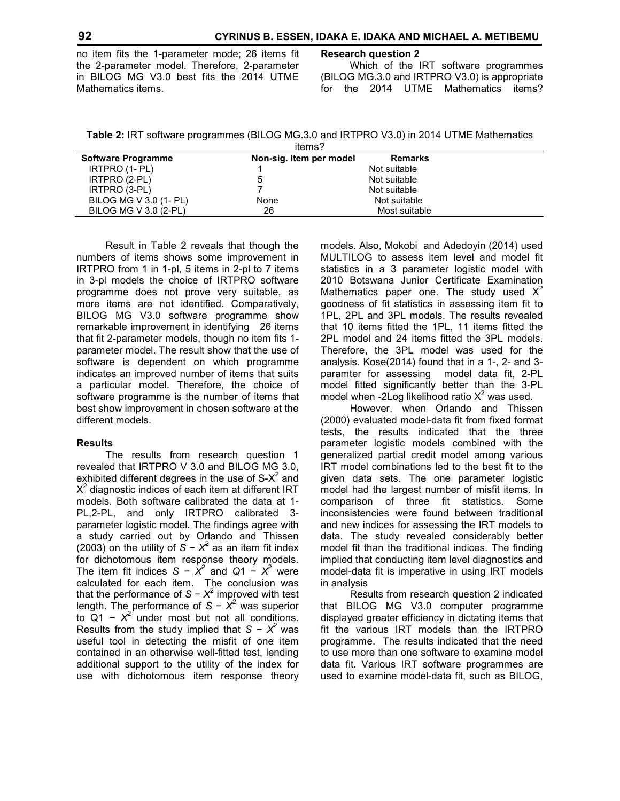no item fits the 1-parameter mode; 26 items fit the 2-parameter model. Therefore, 2-parameter in BILOG MG V3.0 best fits the 2014 UTME Mathematics items.

#### **Research question 2**

 Which of the IRT software programmes (BILOG MG.3.0 and IRTPRO V3.0) is appropriate for the 2014 UTME Mathematics items?

**Table 2:** IRT software programmes (BILOG MG.3.0 and IRTPRO V3.0) in 2014 UTME Mathematics

| items?                    |                         |                |  |  |  |  |
|---------------------------|-------------------------|----------------|--|--|--|--|
| <b>Software Programme</b> | Non-sig. item per model | <b>Remarks</b> |  |  |  |  |
| IRTPRO (1- PL)            |                         | Not suitable   |  |  |  |  |
| IRTPRO (2-PL)             | 5                       | Not suitable   |  |  |  |  |
| IRTPRO (3-PL)             |                         | Not suitable   |  |  |  |  |
| BILOG MG V 3.0 (1- PL)    | None                    | Not suitable   |  |  |  |  |
| BILOG MG V 3.0 (2-PL)     | 26                      | Most suitable  |  |  |  |  |

 Result in Table 2 reveals that though the numbers of items shows some improvement in IRTPRO from 1 in 1-pl, 5 items in 2-pl to 7 items in 3-pl models the choice of IRTPRO software programme does not prove very suitable, as more items are not identified. Comparatively, BILOG MG V3.0 software programme show remarkable improvement in identifying 26 items that fit 2-parameter models, though no item fits 1 parameter model. The result show that the use of software is dependent on which programme indicates an improved number of items that suits a particular model. Therefore, the choice of software programme is the number of items that best show improvement in chosen software at the different models.

# **Results**

The results from research question 1 revealed that IRTPRO V 3.0 and BILOG MG 3.0, exhibited different degrees in the use of  $S-X^2$  and  $X^2$  diagnostic indices of each item at different IRT models. Both software calibrated the data at 1- PL,2-PL, and only IRTPRO calibrated 3 parameter logistic model. The findings agree with a study carried out by Orlando and Thissen (2003) on the utility of  $S - X^2$  as an item fit index for dichotomous item response theory models. The item fit indices  $S - \chi^2$  and  $Q1 - \chi^2$  were calculated for each item. The conclusion was that the performance of *S* − *X* 2 improved with test length. The performance of *S* − *X* 2 was superior to  $Q1 - X^2$  under most but not all conditions. Results from the study implied that *S* − *X*<sup>2</sup> was useful tool in detecting the misfit of one item contained in an otherwise well-fitted test, lending additional support to the utility of the index for use with dichotomous item response theory

models. Also, Mokobi and Adedoyin (2014) used MULTILOG to assess item level and model fit statistics in a 3 parameter logistic model with 2010 Botswana Junior Certificate Examination Mathematics paper one. The study used  $X^2$ goodness of fit statistics in assessing item fit to 1PL, 2PL and 3PL models. The results revealed that 10 items fitted the 1PL, 11 items fitted the 2PL model and 24 items fitted the 3PL models. Therefore, the 3PL model was used for the analysis. Kose(2014) found that in a 1-, 2- and 3 paramter for assessing model data fit, 2-PL model fitted significantly better than the 3-PL model when -2Log likelihood ratio  $X^2$  was used.

 However, when Orlando and Thissen (2000) evaluated model-data fit from fixed format tests, the results indicated that the three parameter logistic models combined with the generalized partial credit model among various IRT model combinations led to the best fit to the given data sets. The one parameter logistic model had the largest number of misfit items. In comparison of three fit statistics. Some inconsistencies were found between traditional and new indices for assessing the IRT models to data. The study revealed considerably better model fit than the traditional indices. The finding implied that conducting item level diagnostics and model-data fit is imperative in using IRT models in analysis

 Results from research question 2 indicated that BILOG MG V3.0 computer programme displayed greater efficiency in dictating items that fit the various IRT models than the IRTPRO programme. The results indicated that the need to use more than one software to examine model data fit. Various IRT software programmes are used to examine model-data fit, such as BILOG,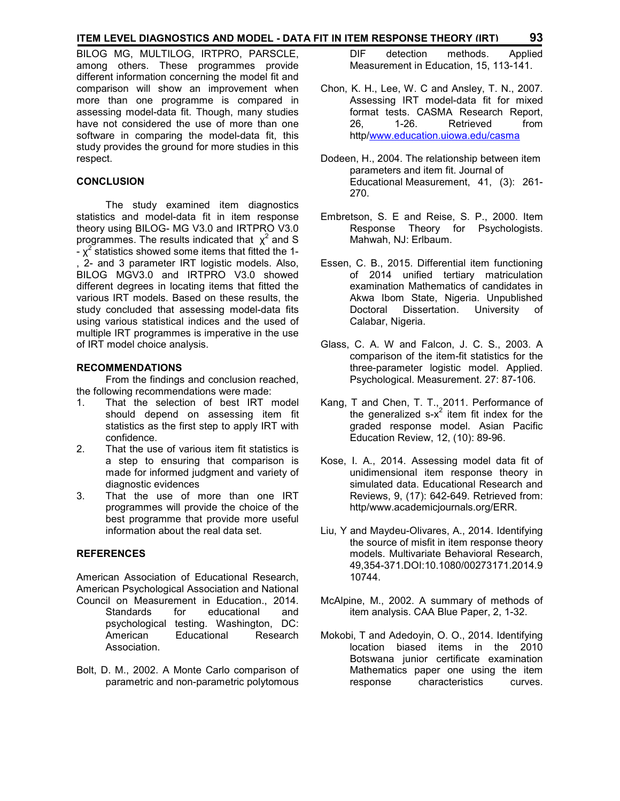# **ITEM LEVEL DIAGNOSTICS AND MODEL - DATA FIT IN ITEM RESPONSE THEORY (IRT) 93**

BILOG MG, MULTILOG, IRTPRO, PARSCLE, among others. These programmes provide different information concerning the model fit and comparison will show an improvement when more than one programme is compared in assessing model-data fit. Though, many studies have not considered the use of more than one software in comparing the model-data fit, this study provides the ground for more studies in this respect.

#### **CONCLUSION**

 The study examined item diagnostics statistics and model-data fit in item response theory using BILOG- MG V3.0 and IRTPRO V3.0 programmes. The results indicated that  $\chi^2$  and S  $-\chi^2$  statistics showed some items that fitted the 1-, 2- and 3 parameter IRT logistic models. Also, BILOG MGV3.0 and IRTPRO V3.0 showed different degrees in locating items that fitted the various IRT models. Based on these results, the study concluded that assessing model-data fits using various statistical indices and the used of multiple IRT programmes is imperative in the use of IRT model choice analysis.

#### **RECOMMENDATIONS**

From the findings and conclusion reached, the following recommendations were made:

- 1. That the selection of best IRT model should depend on assessing item fit statistics as the first step to apply IRT with confidence.
- 2. That the use of various item fit statistics is a step to ensuring that comparison is made for informed judgment and variety of diagnostic evidences
- 3. That the use of more than one IRT programmes will provide the choice of the best programme that provide more useful information about the real data set.

# **REFERENCES**

American Association of Educational Research, American Psychological Association and National Council on Measurement in Education., 2014.

- Standards for educational and psychological testing. Washington, DC: American Educational Research Association.
- Bolt, D. M., 2002. A Monte Carlo comparison of parametric and non-parametric polytomous

 DIF detection methods. Applied Measurement in Education, 15, 113-141.

- Chon, K. H., Lee, W. C and Ansley, T. N., 2007. Assessing IRT model-data fit for mixed format tests. CASMA Research Report, 26, 1-26. Retrieved from http/www.education.uiowa.edu/casma
- Dodeen, H., 2004. The relationship between item parameters and item fit. Journal of Educational Measurement, 41, (3): 261- 270.
- Embretson, S. E and Reise, S. P., 2000. Item Response Theory for Psychologists. Mahwah, NJ: Erlbaum.
- Essen, C. B., 2015. Differential item functioning of 2014 unified tertiary matriculation examination Mathematics of candidates in Akwa Ibom State, Nigeria. Unpublished Doctoral Dissertation. University of Calabar, Nigeria.
- Glass, C. A. W and Falcon, J. C. S., 2003. A comparison of the item-fit statistics for the three-parameter logistic model. Applied. Psychological. Measurement. 27: 87-106.
- Kang, T and Chen, T. T., 2011. Performance of the generalized  $s-x^2$  item fit index for the graded response model. Asian Pacific Education Review, 12, (10): 89-96.
- Kose, I. A., 2014. Assessing model data fit of unidimensional item response theory in simulated data. Educational Research and Reviews, 9, (17): 642-649. Retrieved from: http/www.academicjournals.org/ERR.
- Liu, Y and Maydeu-Olivares, A., 2014. Identifying the source of misfit in item response theory models. Multivariate Behavioral Research, 49,354-371.DOI:10.1080/00273171.2014.9 10744.
- McAlpine, M., 2002. A summary of methods of item analysis. CAA Blue Paper, 2, 1-32.
- Mokobi, T and Adedoyin, O. O., 2014. Identifying location biased items in the 2010 Botswana junior certificate examination Mathematics paper one using the item response characteristics curves.